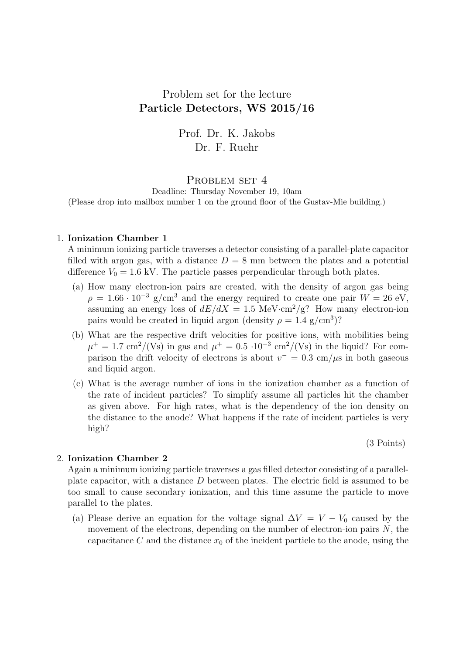# Problem set for the lecture Particle Detectors, WS 2015/16

Prof. Dr. K. Jakobs Dr. F. Ruehr

# PROBLEM SET 4

Deadline: Thursday November 19, 10am (Please drop into mailbox number 1 on the ground floor of the Gustav-Mie building.)

#### 1. Ionization Chamber 1

A minimum ionizing particle traverses a detector consisting of a parallel-plate capacitor filled with argon gas, with a distance  $D = 8$  mm between the plates and a potential difference  $V_0 = 1.6$  kV. The particle passes perpendicular through both plates.

- (a) How many electron-ion pairs are created, with the density of argon gas being  $\rho = 1.66 \cdot 10^{-3}$  g/cm<sup>3</sup> and the energy required to create one pair  $W = 26$  eV, assuming an energy loss of  $dE/dX = 1.5$  MeV·cm<sup>2</sup>/g? How many electron-ion pairs would be created in liquid argon (density  $\rho = 1.4$  g/cm<sup>3</sup>)?
- (b) What are the respective drift velocities for positive ions, with mobilities being  $\mu^+ = 1.7 \text{ cm}^2/(\text{Vs})$  in gas and  $\mu^+ = 0.5 \cdot 10^{-3} \text{ cm}^2/(\text{Vs})$  in the liquid? For comparison the drift velocity of electrons is about  $v^- = 0.3$  cm/ $\mu$ s in both gaseous and liquid argon.
- (c) What is the average number of ions in the ionization chamber as a function of the rate of incident particles? To simplify assume all particles hit the chamber as given above. For high rates, what is the dependency of the ion density on the distance to the anode? What happens if the rate of incident particles is very high?

(3 Points)

## 2. Ionization Chamber 2

Again a minimum ionizing particle traverses a gas filled detector consisting of a parallelplate capacitor, with a distance D between plates. The electric field is assumed to be too small to cause secondary ionization, and this time assume the particle to move parallel to the plates.

(a) Please derive an equation for the voltage signal  $\Delta V = V - V_0$  caused by the movement of the electrons, depending on the number of electron-ion pairs  $N$ , the capacitance C and the distance  $x_0$  of the incident particle to the anode, using the